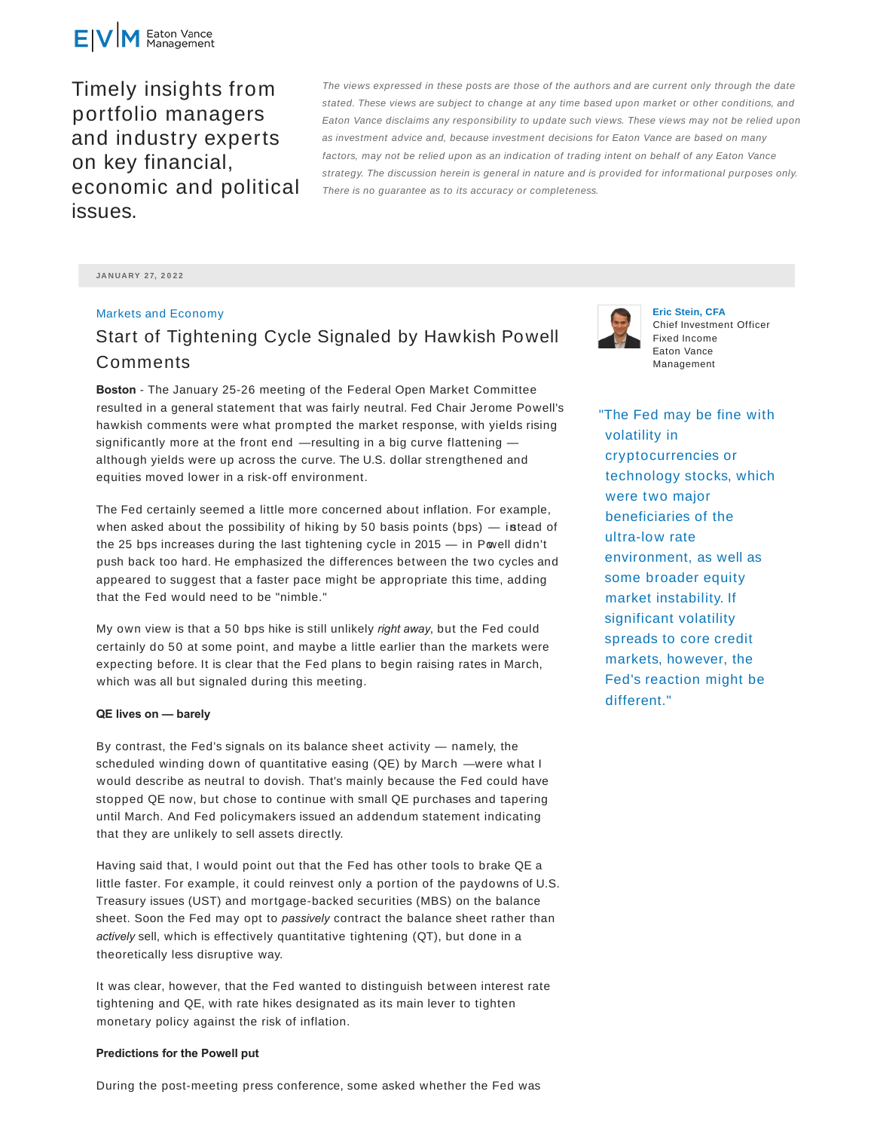

Timely insights from portfolio managers and industry experts on key financial, economic and political issues.

The views expressed in these posts are those of the authors and are current only through the date stated. These views are subject to change at any time based upon market or other conditions, and Eaton Vance disclaims any responsibility to update such views. These views may not be relied upon as investment advice and, because investment decisions for Eaton Vance are based on many factors, may not be relied upon as an indication of trading intent on behalf of any Eaton Vance strategy. The discussion herein is general in nature and is provided for informational purposes only. There is no guarantee as to its accuracy or completeness.

**JA N UA RY 2 7, 2 0 2 2**

## Markets and Economy

## Start of Tightening Cycle Signaled by Hawkish Powell Comments

**Boston** - The January 25-26 meeting of the Federal Open Market Committee resulted in a general statement that was fairly neutral. Fed Chair Jerome Powell's hawkish comments were what prompted the market response, with yields rising significantly more at the front end  $-$  resulting in a big curve flattening  $$ although yields were up across the curve. The U.S. dollar strengthened and equities moved lower in a risk-off environment.

The Fed certainly seemed a little more concerned about inflation. For example, when asked about the possibility of hiking by 50 basis points (bps)  $-$  istead of the 25 bps increases during the last tightening cycle in 2015 - in Powell didn't push back too hard. He emphasized the differences between the two cycles and appeared to suggest that a faster pace might be appropriate this time, adding that the Fed would need to be "nimble."

My own view is that a 50 bps hike is still unlikely *right away*, but the Fed could certainly do 50 at some point, and maybe a little earlier than the markets were expecting before. It is clear that the Fed plans to begin raising rates in March, which was all but signaled during this meeting.

## **QE lives on — barely**

By contrast, the Fed's signals on its balance sheet activity — namely, the scheduled winding down of quantitative easing (QE) by March —were what I would describe as neutral to dovish. That's mainly because the Fed could have stopped QE now, but chose to continue with small QE purchases and tapering until March. And Fed policymakers issued an addendum statement indicating that they are unlikely to sell assets directly.

Having said that, I would point out that the Fed has other tools to brake QE a little faster. For example, it could reinvest only a portion of the paydowns of U.S. Treasury issues (UST) and mortgage-backed securities (MBS) on the balance sheet. Soon the Fed may opt to *passively* contract the balance sheet rather than *actively* sell, which is effectively quantitative tightening (QT), but done in a theoretically less disruptive way.

It was clear, however, that the Fed wanted to distinguish between interest rate tightening and QE, with rate hikes designated as its main lever to tighten monetary policy against the risk of inflation.

## **Predictions for the Powell put**

During the post-meeting press conference, some asked whether the Fed was



**Eric Stein, CFA** Chief Investment Officer Fixed Income Eaton Vance Management

"The Fed may be fine with volatility in cryptocurrencies or technology stocks, which were two major beneficiaries of the ultra-low rate environment, as well as some broader equity market instability. If significant volatility spreads to core credit markets, however, the Fed's reaction might be different."